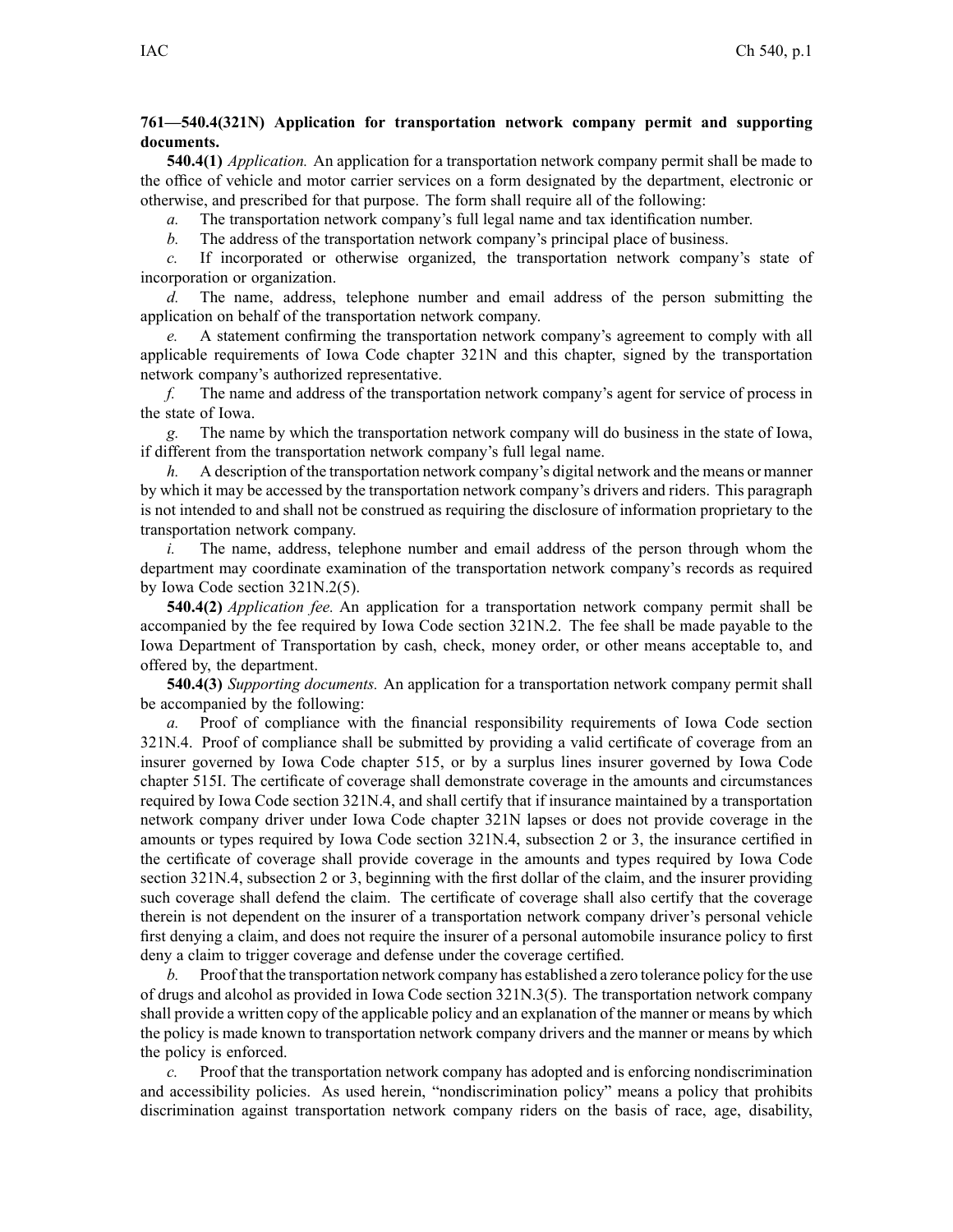## **761—540.4(321N) Application for transportation network company permit and supporting documents.**

**540.4(1)** *Application.* An application for <sup>a</sup> transportation network company permit shall be made to the office of vehicle and motor carrier services on <sup>a</sup> form designated by the department, electronic or otherwise, and prescribed for that purpose. The form shall require all of the following:

*a.* The transportation network company's full legal name and tax identification number.

*b.* The address of the transportation network company's principal place of business.

*c.* If incorporated or otherwise organized, the transportation network company's state of incorporation or organization.

*d.* The name, address, telephone number and email address of the person submitting the application on behalf of the transportation network company.

*e.* A statement confirming the transportation network company's agreemen<sup>t</sup> to comply with all applicable requirements of Iowa Code chapter [321N](https://www.legis.iowa.gov/docs/ico/chapter/2017/321N.pdf) and this chapter, signed by the transportation network company's authorized representative.

*f.* The name and address of the transportation network company's agen<sup>t</sup> for service of process in the state of Iowa.

*g.* The name by which the transportation network company will do business in the state of Iowa, if different from the transportation network company's full legal name.

*h.* A description of the transportation network company's digital network and the means or manner by which it may be accessed by the transportation network company's drivers and riders. This paragraph is not intended to and shall not be construed as requiring the disclosure of information proprietary to the transportation network company.

*i.* The name, address, telephone number and email address of the person through whom the department may coordinate examination of the transportation network company's records as required by Iowa Code section [321N.2\(5\)](https://www.legis.iowa.gov/docs/ico/section/2017/321N.2.pdf).

**540.4(2)** *Application fee.* An application for <sup>a</sup> transportation network company permit shall be accompanied by the fee required by Iowa Code section [321N.2](https://www.legis.iowa.gov/docs/ico/section/2017/321N.2.pdf). The fee shall be made payable to the Iowa Department of Transportation by cash, check, money order, or other means acceptable to, and offered by, the department.

**540.4(3)** *Supporting documents.* An application for <sup>a</sup> transportation network company permit shall be accompanied by the following:

*a.* Proof of compliance with the financial responsibility requirements of Iowa Code section [321N.4](https://www.legis.iowa.gov/docs/ico/section/2017/321N.4.pdf). Proof of compliance shall be submitted by providing <sup>a</sup> valid certificate of coverage from an insurer governed by Iowa Code chapter [515](https://www.legis.iowa.gov/docs/ico/chapter/2017/515.pdf), or by <sup>a</sup> surplus lines insurer governed by Iowa Code chapter [515I](https://www.legis.iowa.gov/docs/ico/chapter/2017/515I.pdf). The certificate of coverage shall demonstrate coverage in the amounts and circumstances required by Iowa Code section [321N.4](https://www.legis.iowa.gov/docs/ico/section/2017/321N.4.pdf), and shall certify that if insurance maintained by <sup>a</sup> transportation network company driver under Iowa Code chapter [321N](https://www.legis.iowa.gov/docs/ico/chapter/2017/321N.pdf) lapses or does not provide coverage in the amounts or types required by Iowa Code section 321N.4, [subsection](https://www.legis.iowa.gov/docs/ico/section/2017/321N.4.pdf) 2 or [3](https://www.legis.iowa.gov/docs/ico/section/2017/321N.4.pdf), the insurance certified in the certificate of coverage shall provide coverage in the amounts and types required by Iowa Code section 321N.4, [subsection](https://www.legis.iowa.gov/docs/ico/section/2017/321N.4.pdf) 2 or [3](https://www.legis.iowa.gov/docs/ico/section/2017/321N.4.pdf), beginning with the first dollar of the claim, and the insurer providing such coverage shall defend the claim. The certificate of coverage shall also certify that the coverage therein is not dependent on the insurer of <sup>a</sup> transportation network company driver's personal vehicle first denying <sup>a</sup> claim, and does not require the insurer of <sup>a</sup> personal automobile insurance policy to first deny <sup>a</sup> claim to trigger coverage and defense under the coverage certified.

*b.* Proof that the transportation network company has established <sup>a</sup> zero tolerance policy for the use of drugs and alcohol as provided in Iowa Code section [321N.3\(5\)](https://www.legis.iowa.gov/docs/ico/section/2017/321N.3.pdf). The transportation network company shall provide <sup>a</sup> written copy of the applicable policy and an explanation of the manner or means by which the policy is made known to transportation network company drivers and the manner or means by which the policy is enforced.

*c.* Proof that the transportation network company has adopted and is enforcing nondiscrimination and accessibility policies. As used herein, "nondiscrimination policy" means <sup>a</sup> policy that prohibits discrimination against transportation network company riders on the basis of race, age, disability,